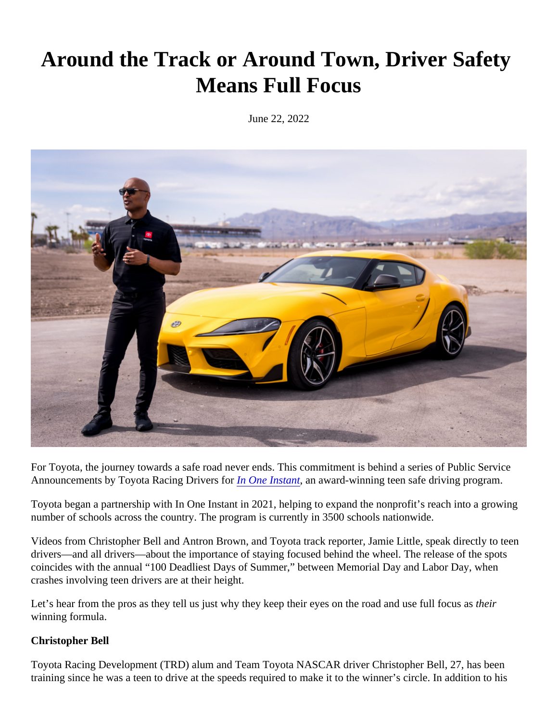## Around the Track or Around Town, Driver Safety Means Full Focus

June 22, 2022

For Toyota, the journey towards a safe road never ends. This commitment is behind a Bebles Service Announcements by Toyota Racing Drivers for One Instantan award-winning teen safe driving program.

Toyota began a partnership with In One Instant in 2021, helping to expand the nonprofit's reach into a growing number of schools across the country. The program is currently in 3500 schools nationwide.

Videos from Christopher Bell and Antron Brown, and Toyota track reporter, Jamie Little, speak directly to teen drivers—and all drivers—about the importance of staying focused behind the wheel. The release of the spots coincides with the annual "100 Deadliest Days of Summer," between Memorial Day and Labor Day, when crashes involving teen drivers are at their height.

Let's hear from the pros as they tell us just why they keep their eyes on the road and use full theous as winning formula.

## Christopher Bell

Toyota Racing Development (TRD) alum and Team Toyota NASCAR driver Christopher Bell, 27, has been training since he was a teen to drive at the speeds required to make it to the winner's circle. In addition to his